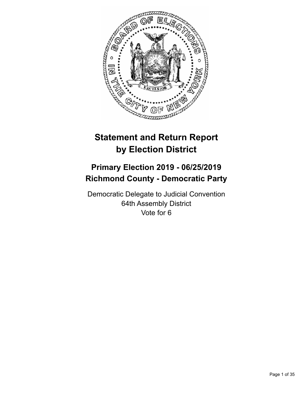

# **Statement and Return Report by Election District**

# **Primary Election 2019 - 06/25/2019 Richmond County - Democratic Party**

Democratic Delegate to Judicial Convention 64th Assembly District Vote for 6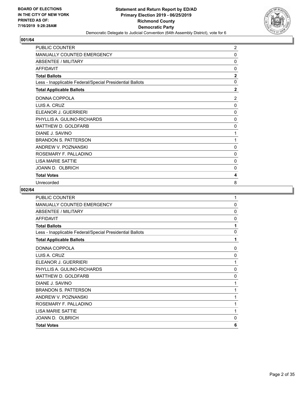

| <b>PUBLIC COUNTER</b>                                    | $\overline{2}$ |
|----------------------------------------------------------|----------------|
| MANUALLY COUNTED EMERGENCY                               | 0              |
| ABSENTEE / MILITARY                                      | $\mathbf{0}$   |
| <b>AFFIDAVIT</b>                                         | $\mathbf{0}$   |
| <b>Total Ballots</b>                                     | $\mathbf{2}$   |
| Less - Inapplicable Federal/Special Presidential Ballots | 0              |
| <b>Total Applicable Ballots</b>                          | $\overline{2}$ |
| DONNA COPPOLA                                            | 2              |
| LUIS A. CRUZ                                             | 0              |
| ELEANOR J. GUERRIERI                                     | $\mathbf{0}$   |
| PHYLLIS A. GULINO-RICHARDS                               | 0              |
| MATTHEW D. GOLDFARB                                      | 0              |
| DIANE J. SAVINO                                          | 1              |
| <b>BRANDON S. PATTERSON</b>                              | 1              |
| ANDREW V. POZNANSKI                                      | 0              |
| ROSEMARY F. PALLADINO                                    | 0              |
| <b>LISA MARIE SATTIE</b>                                 | $\mathbf{0}$   |
| JOANN D. OLBRICH                                         | 0              |
| <b>Total Votes</b>                                       | 4              |
| Unrecorded                                               | 8              |

| <b>PUBLIC COUNTER</b>                                    | 1            |
|----------------------------------------------------------|--------------|
| MANUALLY COUNTED EMERGENCY                               | $\mathbf{0}$ |
| ABSENTEE / MILITARY                                      | 0            |
| <b>AFFIDAVIT</b>                                         | 0            |
| <b>Total Ballots</b>                                     | 1            |
| Less - Inapplicable Federal/Special Presidential Ballots | 0            |
| <b>Total Applicable Ballots</b>                          | 1            |
| DONNA COPPOLA                                            | 0            |
| LUIS A. CRUZ                                             | 0            |
| ELEANOR J. GUERRIERI                                     | 1            |
| PHYLLIS A. GULINO-RICHARDS                               | $\mathbf{0}$ |
| MATTHEW D. GOLDFARB                                      | 0            |
| DIANE J. SAVINO                                          | 1            |
| <b>BRANDON S. PATTERSON</b>                              | 1            |
| ANDREW V. POZNANSKI                                      | 1            |
| ROSEMARY F. PALLADINO                                    | 1            |
| <b>LISA MARIE SATTIE</b>                                 | 1            |
| JOANN D. OLBRICH                                         | 0            |
| <b>Total Votes</b>                                       | 6            |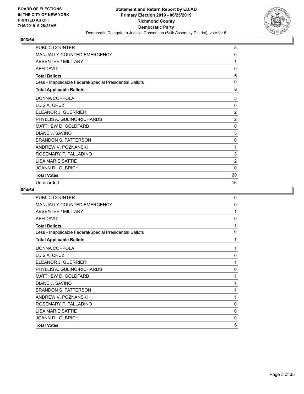

| PUBLIC COUNTER                                           | 5              |
|----------------------------------------------------------|----------------|
| <b>MANUALLY COUNTED EMERGENCY</b>                        | 0              |
| <b>ABSENTEE / MILITARY</b>                               | 1              |
| <b>AFFIDAVIT</b>                                         | 0              |
| <b>Total Ballots</b>                                     | 6              |
| Less - Inapplicable Federal/Special Presidential Ballots | $\mathbf 0$    |
| <b>Total Applicable Ballots</b>                          | 6              |
| DONNA COPPOLA                                            | 5              |
| LUIS A. CRUZ                                             | $\Omega$       |
| ELEANOR J. GUERRIERI                                     | $\overline{2}$ |
| PHYLLIS A. GULINO-RICHARDS                               | $\overline{2}$ |
| MATTHEW D. GOLDFARB                                      | 0              |
| DIANE J. SAVINO                                          | 5              |
| <b>BRANDON S. PATTERSON</b>                              | 0              |
| ANDREW V. POZNANSKI                                      | 1              |
| ROSEMARY F. PALLADINO                                    | 3              |
| <b>LISA MARIE SATTIE</b>                                 | $\overline{2}$ |
| JOANN D. OLBRICH                                         | 0              |
| <b>Total Votes</b>                                       | 20             |
| Unrecorded                                               | 16             |

| PUBLIC COUNTER                                           | $\mathbf{0}$ |
|----------------------------------------------------------|--------------|
| MANUALLY COUNTED EMERGENCY                               | $\mathbf{0}$ |
| ABSENTEE / MILITARY                                      | 1            |
| <b>AFFIDAVIT</b>                                         | 0            |
| <b>Total Ballots</b>                                     | 1            |
| Less - Inapplicable Federal/Special Presidential Ballots | $\mathbf{0}$ |
| <b>Total Applicable Ballots</b>                          | 1            |
| DONNA COPPOLA                                            | 1            |
| LUIS A. CRUZ                                             | 0            |
| ELEANOR J. GUERRIERI                                     | 1            |
| PHYLLIS A. GULINO-RICHARDS                               | $\mathbf 0$  |
| MATTHEW D. GOLDFARB                                      | 1            |
| DIANE J. SAVINO                                          | 1            |
| <b>BRANDON S. PATTERSON</b>                              | 1            |
| ANDREW V. POZNANSKI                                      | 1            |
| ROSEMARY F. PALLADINO                                    | 0            |
| <b>LISA MARIE SATTIE</b>                                 | $\mathbf 0$  |
| JOANN D. OLBRICH                                         | 0            |
| <b>Total Votes</b>                                       | 6            |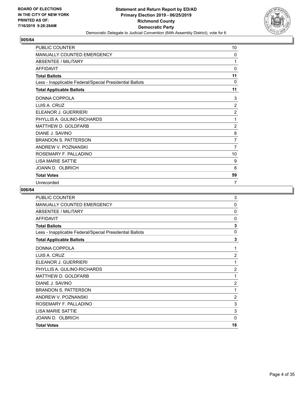

| <b>PUBLIC COUNTER</b>                                    | 10             |
|----------------------------------------------------------|----------------|
| <b>MANUALLY COUNTED EMERGENCY</b>                        | 0              |
| ABSENTEE / MILITARY                                      | 1              |
| <b>AFFIDAVIT</b>                                         | 0              |
| <b>Total Ballots</b>                                     | 11             |
| Less - Inapplicable Federal/Special Presidential Ballots | $\Omega$       |
| <b>Total Applicable Ballots</b>                          | 11             |
| DONNA COPPOLA                                            | 3              |
| LUIS A. CRUZ                                             | $\overline{2}$ |
| ELEANOR J. GUERRIERI                                     | $\overline{2}$ |
| PHYLLIS A. GULINO-RICHARDS                               | 1              |
| MATTHEW D. GOLDFARB                                      | $\overline{2}$ |
| DIANE J. SAVINO                                          | 8              |
| <b>BRANDON S. PATTERSON</b>                              | $\overline{7}$ |
| ANDREW V. POZNANSKI                                      | $\overline{7}$ |
| ROSEMARY F. PALLADINO                                    | 10             |
| <b>I ISA MARIF SATTIF</b>                                | 9              |
| JOANN D. OLBRICH                                         | 8              |
| <b>Total Votes</b>                                       | 59             |
| Unrecorded                                               | $\overline{7}$ |

| <b>PUBLIC COUNTER</b>                                    | 3              |
|----------------------------------------------------------|----------------|
| <b>MANUALLY COUNTED EMERGENCY</b>                        | 0              |
| <b>ABSENTEE / MILITARY</b>                               | 0              |
| <b>AFFIDAVIT</b>                                         | 0              |
| <b>Total Ballots</b>                                     | 3              |
| Less - Inapplicable Federal/Special Presidential Ballots | 0              |
| <b>Total Applicable Ballots</b>                          | 3              |
| DONNA COPPOLA                                            | 1              |
| LUIS A. CRUZ                                             | $\overline{2}$ |
| ELEANOR J. GUERRIERI                                     | 1              |
| PHYLLIS A. GULINO-RICHARDS                               | $\overline{2}$ |
| MATTHEW D. GOLDFARB                                      | 1              |
| DIANE J. SAVINO                                          | $\overline{c}$ |
| <b>BRANDON S. PATTERSON</b>                              | 1              |
| ANDREW V. POZNANSKI                                      | 2              |
| ROSEMARY F. PALLADINO                                    | 3              |
| <b>LISA MARIE SATTIE</b>                                 | 3              |
| JOANN D. OLBRICH                                         | 0              |
| <b>Total Votes</b>                                       | 18             |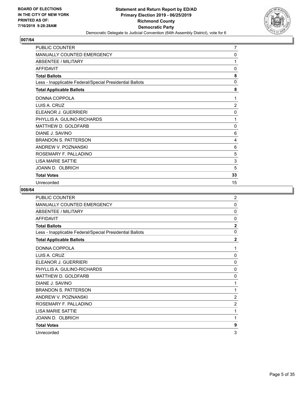

| <b>PUBLIC COUNTER</b>                                    | $\overline{7}$ |
|----------------------------------------------------------|----------------|
| <b>MANUALLY COUNTED EMERGENCY</b>                        | 0              |
| <b>ABSENTEE / MILITARY</b>                               | 1              |
| <b>AFFIDAVIT</b>                                         | 0              |
| <b>Total Ballots</b>                                     | 8              |
| Less - Inapplicable Federal/Special Presidential Ballots | 0              |
| <b>Total Applicable Ballots</b>                          | 8              |
| DONNA COPPOLA                                            | 1              |
| LUIS A. CRUZ                                             | $\overline{2}$ |
| ELEANOR J. GUERRIERI                                     | 0              |
| PHYLLIS A. GULINO-RICHARDS                               | 1              |
| MATTHEW D. GOLDFARB                                      | 0              |
| DIANE J. SAVINO                                          | 6              |
| <b>BRANDON S. PATTERSON</b>                              | 4              |
| ANDREW V. POZNANSKI                                      | 6              |
| ROSEMARY F. PALLADINO                                    | 5              |
| <b>I ISA MARIF SATTIF</b>                                | 3              |
| JOANN D. OLBRICH                                         | 5              |
| <b>Total Votes</b>                                       | 33             |
| Unrecorded                                               | 15             |

| <b>PUBLIC COUNTER</b>                                    | $\overline{2}$ |
|----------------------------------------------------------|----------------|
| MANUALLY COUNTED EMERGENCY                               | $\mathbf 0$    |
| ABSENTEE / MILITARY                                      | $\mathbf{0}$   |
| <b>AFFIDAVIT</b>                                         | $\mathbf{0}$   |
| <b>Total Ballots</b>                                     | $\overline{2}$ |
| Less - Inapplicable Federal/Special Presidential Ballots | $\mathbf{0}$   |
| <b>Total Applicable Ballots</b>                          | $\overline{2}$ |
| DONNA COPPOLA                                            | 1              |
| LUIS A. CRUZ                                             | 0              |
| ELEANOR J. GUERRIERI                                     | $\mathbf{0}$   |
| PHYLLIS A. GULINO-RICHARDS                               | $\mathbf{0}$   |
| MATTHEW D. GOLDFARB                                      | $\mathbf{0}$   |
| DIANE J. SAVINO                                          | 1              |
| <b>BRANDON S. PATTERSON</b>                              | 1              |
| ANDREW V. POZNANSKI                                      | $\overline{2}$ |
| ROSEMARY F. PALLADINO                                    | $\overline{2}$ |
| <b>LISA MARIE SATTIE</b>                                 | 1              |
| JOANN D. OLBRICH                                         | 1              |
| <b>Total Votes</b>                                       | 9              |
| Unrecorded                                               | 3              |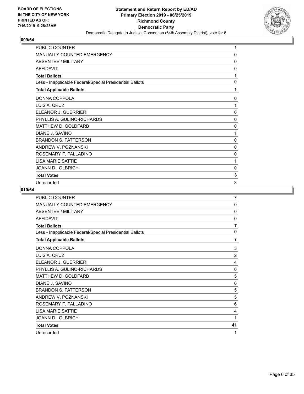

| <b>PUBLIC COUNTER</b>                                    | 1            |
|----------------------------------------------------------|--------------|
| MANUALLY COUNTED EMERGENCY                               | 0            |
| ABSENTEE / MILITARY                                      | 0            |
| <b>AFFIDAVIT</b>                                         | $\mathbf{0}$ |
| <b>Total Ballots</b>                                     | 1            |
| Less - Inapplicable Federal/Special Presidential Ballots | 0            |
| <b>Total Applicable Ballots</b>                          | 1            |
| DONNA COPPOLA                                            | 0            |
| LUIS A. CRUZ                                             | 1            |
| ELEANOR J. GUERRIERI                                     | 0            |
| PHYLLIS A. GULINO-RICHARDS                               | 0            |
| MATTHEW D. GOLDFARB                                      | 0            |
| DIANE J. SAVINO                                          | 1            |
| <b>BRANDON S. PATTERSON</b>                              | $\mathbf{0}$ |
| ANDREW V. POZNANSKI                                      | 0            |
| ROSEMARY F. PALLADINO                                    | 0            |
| LISA MARIE SATTIE                                        | 1            |
| JOANN D. OLBRICH                                         | 0            |
| <b>Total Votes</b>                                       | 3            |
| Unrecorded                                               | 3            |

| PUBLIC COUNTER                                           | 7              |
|----------------------------------------------------------|----------------|
| <b>MANUALLY COUNTED EMERGENCY</b>                        | 0              |
| ABSENTEE / MILITARY                                      | $\mathbf{0}$   |
| <b>AFFIDAVIT</b>                                         | $\mathbf{0}$   |
| <b>Total Ballots</b>                                     | $\overline{7}$ |
| Less - Inapplicable Federal/Special Presidential Ballots | $\mathbf{0}$   |
| <b>Total Applicable Ballots</b>                          | $\overline{7}$ |
| DONNA COPPOLA                                            | 3              |
| LUIS A. CRUZ                                             | $\overline{2}$ |
| ELEANOR J. GUERRIERI                                     | 4              |
| PHYLLIS A. GULINO-RICHARDS                               | 0              |
| MATTHEW D. GOLDFARB                                      | 5              |
| DIANE J. SAVINO                                          | 6              |
| <b>BRANDON S. PATTERSON</b>                              | 5              |
| ANDREW V. POZNANSKI                                      | 5              |
| ROSEMARY F. PALLADINO                                    | 6              |
| <b>LISA MARIE SATTIE</b>                                 | 4              |
| JOANN D. OLBRICH                                         | 1              |
| <b>Total Votes</b>                                       | 41             |
| Unrecorded                                               | 1              |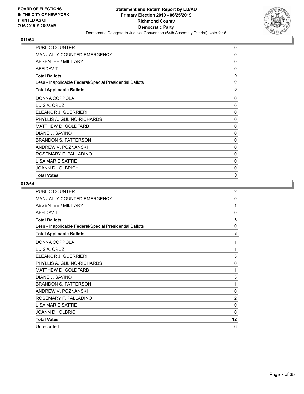

| PUBLIC COUNTER                                           | 0            |
|----------------------------------------------------------|--------------|
| MANUALLY COUNTED EMERGENCY                               | 0            |
| <b>ABSENTEE / MILITARY</b>                               | 0            |
| <b>AFFIDAVIT</b>                                         | 0            |
| <b>Total Ballots</b>                                     | 0            |
| Less - Inapplicable Federal/Special Presidential Ballots | $\mathbf{0}$ |
| <b>Total Applicable Ballots</b>                          | 0            |
| DONNA COPPOLA                                            | $\mathbf{0}$ |
| LUIS A. CRUZ                                             | $\mathbf 0$  |
| ELEANOR J. GUERRIERI                                     | $\mathbf 0$  |
| PHYLLIS A. GULINO-RICHARDS                               | 0            |
| <b>MATTHEW D. GOLDFARB</b>                               | 0            |
| DIANE J. SAVINO                                          | 0            |
| <b>BRANDON S. PATTERSON</b>                              | 0            |
| ANDREW V. POZNANSKI                                      | $\mathbf 0$  |
| ROSEMARY F. PALLADINO                                    | $\mathbf 0$  |
| <b>LISA MARIE SATTIE</b>                                 | 0            |
| JOANN D. OLBRICH                                         | 0            |
| <b>Total Votes</b>                                       | $\mathbf{0}$ |

| PUBLIC COUNTER                                           | $\overline{c}$ |
|----------------------------------------------------------|----------------|
| MANUALLY COUNTED EMERGENCY                               | 0              |
| ABSENTEE / MILITARY                                      | 1              |
| <b>AFFIDAVIT</b>                                         | $\Omega$       |
| <b>Total Ballots</b>                                     | 3              |
| Less - Inapplicable Federal/Special Presidential Ballots | 0              |
| <b>Total Applicable Ballots</b>                          | 3              |
| DONNA COPPOLA                                            | 1              |
| LUIS A. CRUZ                                             | 1              |
| ELEANOR J. GUERRIERI                                     | 3              |
| PHYLLIS A. GULINO-RICHARDS                               | $\Omega$       |
| MATTHEW D. GOLDFARB                                      | 1              |
| DIANE J. SAVINO                                          | 3              |
| <b>BRANDON S. PATTERSON</b>                              | 1              |
| ANDREW V. POZNANSKI                                      | 0              |
| ROSEMARY F. PALLADINO                                    | $\overline{2}$ |
| <b>LISA MARIE SATTIE</b>                                 | $\mathbf{0}$   |
| JOANN D. OLBRICH                                         | $\Omega$       |
| <b>Total Votes</b>                                       | 12             |
| Unrecorded                                               | 6              |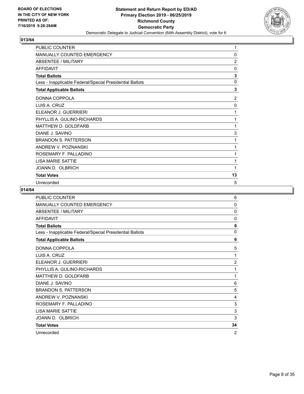

| PUBLIC COUNTER                                           | 1              |
|----------------------------------------------------------|----------------|
| MANUALLY COUNTED EMERGENCY                               | 0              |
| ABSENTEE / MILITARY                                      | $\overline{2}$ |
| <b>AFFIDAVIT</b>                                         | $\mathbf{0}$   |
| <b>Total Ballots</b>                                     | 3              |
| Less - Inapplicable Federal/Special Presidential Ballots | $\mathbf 0$    |
| <b>Total Applicable Ballots</b>                          | 3              |
| DONNA COPPOLA                                            | 2              |
| LUIS A. CRUZ                                             | 0              |
| ELEANOR J. GUERRIERI                                     | 1              |
| PHYLLIS A. GULINO-RICHARDS                               | 1              |
| MATTHEW D. GOLDFARB                                      | 1              |
| DIANE J. SAVINO                                          | 3              |
| <b>BRANDON S. PATTERSON</b>                              | 1              |
| ANDREW V. POZNANSKI                                      | 1              |
| ROSEMARY F. PALLADINO                                    | 1              |
| <b>LISA MARIE SATTIE</b>                                 | 1              |
| JOANN D. OLBRICH                                         | 1              |
| <b>Total Votes</b>                                       | 13             |
| Unrecorded                                               | 5              |

| PUBLIC COUNTER                                           | 6              |
|----------------------------------------------------------|----------------|
| <b>MANUALLY COUNTED EMERGENCY</b>                        | $\mathbf{0}$   |
| <b>ABSENTEE / MILITARY</b>                               | 0              |
| <b>AFFIDAVIT</b>                                         | $\mathbf{0}$   |
| <b>Total Ballots</b>                                     | 6              |
| Less - Inapplicable Federal/Special Presidential Ballots | 0              |
| <b>Total Applicable Ballots</b>                          | 6              |
| DONNA COPPOLA                                            | 5              |
| LUIS A. CRUZ                                             | 1              |
| ELEANOR J. GUERRIERI                                     | $\overline{2}$ |
| PHYLLIS A. GULINO-RICHARDS                               | 1              |
| MATTHEW D. GOLDFARB                                      | 1              |
| DIANE J. SAVINO                                          | 6              |
| <b>BRANDON S. PATTERSON</b>                              | 5              |
| ANDREW V. POZNANSKI                                      | 4              |
| ROSEMARY F. PALLADINO                                    | 3              |
| <b>LISA MARIE SATTIE</b>                                 | 3              |
| JOANN D. OLBRICH                                         | 3              |
| <b>Total Votes</b>                                       | 34             |
| Unrecorded                                               | $\overline{2}$ |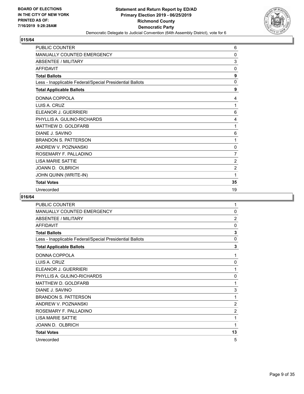

| PUBLIC COUNTER                                           | 6              |
|----------------------------------------------------------|----------------|
| MANUALLY COUNTED EMERGENCY                               | $\mathbf{0}$   |
| <b>ABSENTEE / MILITARY</b>                               | 3              |
| <b>AFFIDAVIT</b>                                         | 0              |
| <b>Total Ballots</b>                                     | 9              |
| Less - Inapplicable Federal/Special Presidential Ballots | 0              |
| <b>Total Applicable Ballots</b>                          | 9              |
| DONNA COPPOLA                                            | 4              |
| LUIS A. CRUZ                                             | 1              |
| ELEANOR J. GUERRIERI                                     | 6              |
| PHYLLIS A. GULINO-RICHARDS                               | 4              |
| <b>MATTHEW D. GOLDFARB</b>                               | 1              |
| DIANE J. SAVINO                                          | 6              |
| <b>BRANDON S. PATTERSON</b>                              | 1              |
| ANDREW V. POZNANSKI                                      | 0              |
| ROSEMARY F. PALLADINO                                    | $\overline{7}$ |
| <b>LISA MARIE SATTIE</b>                                 | $\overline{2}$ |
| JOANN D. OLBRICH                                         | $\overline{2}$ |
| JOHN QUINN (WRITE-IN)                                    | 1              |
| <b>Total Votes</b>                                       | 35             |
| Unrecorded                                               | 19             |

| <b>PUBLIC COUNTER</b>                                    | 1              |
|----------------------------------------------------------|----------------|
| MANUALLY COUNTED EMERGENCY                               | $\mathbf{0}$   |
| <b>ABSENTEE / MILITARY</b>                               | $\overline{2}$ |
| <b>AFFIDAVIT</b>                                         | 0              |
| <b>Total Ballots</b>                                     | 3              |
| Less - Inapplicable Federal/Special Presidential Ballots | 0              |
| <b>Total Applicable Ballots</b>                          | 3              |
| DONNA COPPOLA                                            | 1              |
| LUIS A. CRUZ                                             | 0              |
| ELEANOR J. GUERRIERI                                     | 1              |
| PHYLLIS A. GULINO-RICHARDS                               | 0              |
| MATTHEW D. GOLDFARB                                      | 1              |
| DIANE J. SAVINO                                          | 3              |
| <b>BRANDON S. PATTERSON</b>                              | 1              |
| ANDREW V. POZNANSKI                                      | $\overline{2}$ |
| ROSEMARY F. PALLADINO                                    | $\overline{2}$ |
| <b>LISA MARIE SATTIE</b>                                 | 1              |
| JOANN D. OLBRICH                                         | 1              |
| <b>Total Votes</b>                                       | 13             |
| Unrecorded                                               | 5              |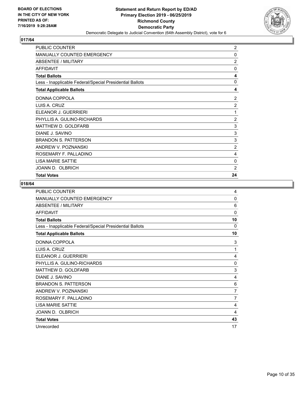

| PUBLIC COUNTER                                           | 2              |
|----------------------------------------------------------|----------------|
| MANUALLY COUNTED EMERGENCY                               | 0              |
| <b>ABSENTEE / MILITARY</b>                               | $\overline{2}$ |
| <b>AFFIDAVIT</b>                                         | 0              |
| <b>Total Ballots</b>                                     | 4              |
| Less - Inapplicable Federal/Special Presidential Ballots | $\mathbf{0}$   |
| <b>Total Applicable Ballots</b>                          | 4              |
| DONNA COPPOLA                                            | 2              |
| LUIS A. CRUZ                                             | $\overline{2}$ |
| ELEANOR J. GUERRIERI                                     | 1              |
| PHYLLIS A. GULINO-RICHARDS                               | $\overline{2}$ |
| <b>MATTHEW D. GOLDFARB</b>                               | 3              |
| DIANE J. SAVINO                                          | 3              |
| <b>BRANDON S. PATTERSON</b>                              | 3              |
| ANDREW V. POZNANSKI                                      | $\overline{2}$ |
| ROSEMARY F. PALLADINO                                    | 4              |
| <b>LISA MARIE SATTIE</b>                                 | 0              |
| JOANN D. OLBRICH                                         | $\overline{2}$ |
| <b>Total Votes</b>                                       | 24             |

| PUBLIC COUNTER                                           | 4              |
|----------------------------------------------------------|----------------|
| MANUALLY COUNTED EMERGENCY                               | 0              |
| <b>ABSENTEE / MILITARY</b>                               | 6              |
| <b>AFFIDAVIT</b>                                         | $\Omega$       |
| <b>Total Ballots</b>                                     | 10             |
| Less - Inapplicable Federal/Special Presidential Ballots | $\Omega$       |
| <b>Total Applicable Ballots</b>                          | 10             |
| DONNA COPPOLA                                            | 3              |
| LUIS A. CRUZ                                             | 1              |
| ELEANOR J. GUERRIERI                                     | 4              |
| PHYLLIS A. GULINO-RICHARDS                               | $\Omega$       |
| <b>MATTHEW D. GOLDFARB</b>                               | 3              |
| DIANE J. SAVINO                                          | 4              |
| <b>BRANDON S. PATTERSON</b>                              | 6              |
| ANDREW V. POZNANSKI                                      | 7              |
| ROSEMARY F. PALLADINO                                    | $\overline{7}$ |
| <b>LISA MARIE SATTIE</b>                                 | 4              |
| JOANN D. OLBRICH                                         | 4              |
| <b>Total Votes</b>                                       | 43             |
| Unrecorded                                               | 17             |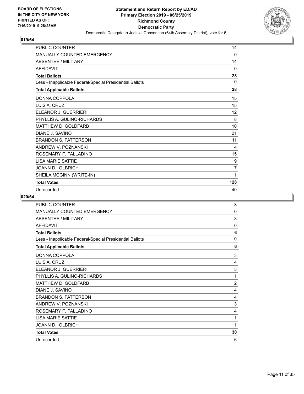

| <b>PUBLIC COUNTER</b>                                    | 14       |
|----------------------------------------------------------|----------|
| MANUALLY COUNTED EMERGENCY                               | 0        |
| <b>ABSENTEE / MILITARY</b>                               | 14       |
| <b>AFFIDAVIT</b>                                         | 0        |
| <b>Total Ballots</b>                                     | 28       |
| Less - Inapplicable Federal/Special Presidential Ballots | $\Omega$ |
| <b>Total Applicable Ballots</b>                          | 28       |
| DONNA COPPOLA                                            | 15       |
| LUIS A. CRUZ                                             | 15       |
| ELEANOR J. GUERRIERI                                     | 12       |
| PHYLLIS A. GULINO-RICHARDS                               | 8        |
| MATTHEW D. GOLDFARB                                      | 10       |
| DIANE J. SAVINO                                          | 21       |
| <b>BRANDON S. PATTERSON</b>                              | 11       |
| ANDREW V. POZNANSKI                                      | 4        |
| ROSEMARY F. PALLADINO                                    | 15       |
| <b>LISA MARIE SATTIE</b>                                 | 9        |
| JOANN D. OLBRICH                                         | 7        |
| SHEILA MCGINN (WRITE-IN)                                 | 1        |
| <b>Total Votes</b>                                       | 128      |
| Unrecorded                                               | 40       |

| <b>PUBLIC COUNTER</b>                                    | 3              |
|----------------------------------------------------------|----------------|
| MANUALLY COUNTED EMERGENCY                               | $\mathbf{0}$   |
| <b>ABSENTEE / MILITARY</b>                               | 3              |
| <b>AFFIDAVIT</b>                                         | 0              |
| <b>Total Ballots</b>                                     | 6              |
| Less - Inapplicable Federal/Special Presidential Ballots | $\Omega$       |
| <b>Total Applicable Ballots</b>                          | 6              |
| DONNA COPPOLA                                            | 3              |
| LUIS A. CRUZ                                             | 4              |
| ELEANOR J. GUERRIERI                                     | 3              |
| PHYLLIS A. GULINO-RICHARDS                               | 1              |
| MATTHEW D. GOLDFARB                                      | 2              |
| DIANE J. SAVINO                                          | 4              |
| <b>BRANDON S. PATTERSON</b>                              | $\overline{4}$ |
| ANDREW V. POZNANSKI                                      | 3              |
| ROSEMARY F. PALLADINO                                    | 4              |
| LISA MARIE SATTIE                                        | 1              |
| JOANN D. OLBRICH                                         | 1              |
| <b>Total Votes</b>                                       | 30             |
| Unrecorded                                               | 6              |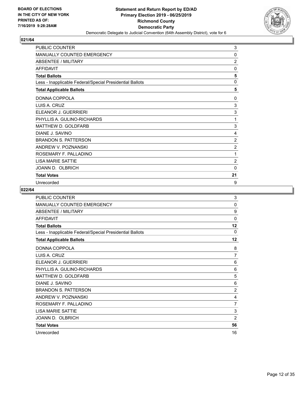

| PUBLIC COUNTER                                           | 3              |
|----------------------------------------------------------|----------------|
| <b>MANUALLY COUNTED EMERGENCY</b>                        | 0              |
| <b>ABSENTEE / MILITARY</b>                               | $\overline{2}$ |
| <b>AFFIDAVIT</b>                                         | 0              |
| <b>Total Ballots</b>                                     | 5              |
| Less - Inapplicable Federal/Special Presidential Ballots | $\mathbf 0$    |
| <b>Total Applicable Ballots</b>                          | 5              |
| DONNA COPPOLA                                            | 0              |
| LUIS A. CRUZ                                             | 3              |
| ELEANOR J. GUERRIERI                                     | 3              |
| PHYLLIS A. GULINO-RICHARDS                               | 1              |
| MATTHEW D. GOLDFARB                                      | 3              |
| DIANE J. SAVINO                                          | 4              |
| <b>BRANDON S. PATTERSON</b>                              | $\overline{c}$ |
| ANDREW V. POZNANSKI                                      | $\overline{2}$ |
| ROSEMARY F. PALLADINO                                    | 1              |
| <b>LISA MARIE SATTIE</b>                                 | $\overline{2}$ |
| JOANN D. OLBRICH                                         | 0              |
| <b>Total Votes</b>                                       | 21             |
| Unrecorded                                               | 9              |

| PUBLIC COUNTER                                           | 3              |
|----------------------------------------------------------|----------------|
| MANUALLY COUNTED EMERGENCY                               | 0              |
| <b>ABSENTEE / MILITARY</b>                               | 9              |
| <b>AFFIDAVIT</b>                                         | $\mathbf{0}$   |
| <b>Total Ballots</b>                                     | 12             |
| Less - Inapplicable Federal/Special Presidential Ballots | 0              |
| <b>Total Applicable Ballots</b>                          | 12             |
| DONNA COPPOLA                                            | 8              |
| LUIS A. CRUZ                                             | 7              |
| ELEANOR J. GUERRIERI                                     | 6              |
| PHYLLIS A. GULINO-RICHARDS                               | 6              |
| MATTHEW D. GOLDFARB                                      | 5              |
| DIANE J. SAVINO                                          | 6              |
| <b>BRANDON S. PATTERSON</b>                              | $\overline{2}$ |
| ANDREW V. POZNANSKI                                      | 4              |
| ROSEMARY F. PALLADINO                                    | $\overline{7}$ |
| <b>LISA MARIE SATTIE</b>                                 | 3              |
| JOANN D. OLBRICH                                         | $\overline{2}$ |
| <b>Total Votes</b>                                       | 56             |
| Unrecorded                                               | 16             |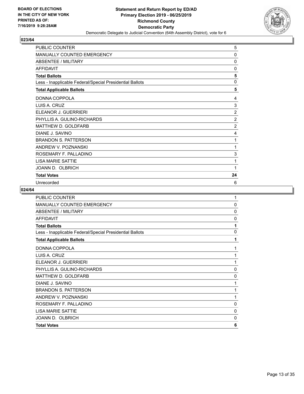

| PUBLIC COUNTER                                           | 5              |
|----------------------------------------------------------|----------------|
| <b>MANUALLY COUNTED EMERGENCY</b>                        | 0              |
| <b>ABSENTEE / MILITARY</b>                               | $\mathbf{0}$   |
| <b>AFFIDAVIT</b>                                         | 0              |
| <b>Total Ballots</b>                                     | 5              |
| Less - Inapplicable Federal/Special Presidential Ballots | $\mathbf 0$    |
| <b>Total Applicable Ballots</b>                          | 5              |
| DONNA COPPOLA                                            | 4              |
| LUIS A. CRUZ                                             | 3              |
| ELEANOR J. GUERRIERI                                     | $\overline{2}$ |
| PHYLLIS A. GULINO-RICHARDS                               | $\overline{2}$ |
| MATTHEW D. GOLDFARB                                      | $\overline{2}$ |
| DIANE J. SAVINO                                          | 4              |
| <b>BRANDON S. PATTERSON</b>                              | 1              |
| ANDREW V. POZNANSKI                                      | 1              |
| ROSEMARY F. PALLADINO                                    | 3              |
| <b>LISA MARIE SATTIE</b>                                 | 1              |
| JOANN D. OLBRICH                                         | 1              |
| <b>Total Votes</b>                                       | 24             |
| Unrecorded                                               | 6              |

| <b>PUBLIC COUNTER</b>                                    | 1            |
|----------------------------------------------------------|--------------|
| MANUALLY COUNTED EMERGENCY                               | 0            |
| <b>ABSENTEE / MILITARY</b>                               | 0            |
| <b>AFFIDAVIT</b>                                         | 0            |
| <b>Total Ballots</b>                                     | 1            |
| Less - Inapplicable Federal/Special Presidential Ballots | 0            |
| <b>Total Applicable Ballots</b>                          | 1            |
| DONNA COPPOLA                                            | 1            |
| LUIS A. CRUZ                                             | 1            |
| ELEANOR J. GUERRIERI                                     | 1            |
| PHYLLIS A. GULINO-RICHARDS                               | 0            |
| MATTHEW D. GOLDFARB                                      | 0            |
| DIANE J. SAVINO                                          | 1            |
| <b>BRANDON S. PATTERSON</b>                              | 1            |
| ANDREW V. POZNANSKI                                      | 1            |
| ROSEMARY F. PALLADINO                                    | $\mathbf{0}$ |
| <b>LISA MARIE SATTIE</b>                                 | $\mathbf 0$  |
| JOANN D. OLBRICH                                         | 0            |
| <b>Total Votes</b>                                       | 6            |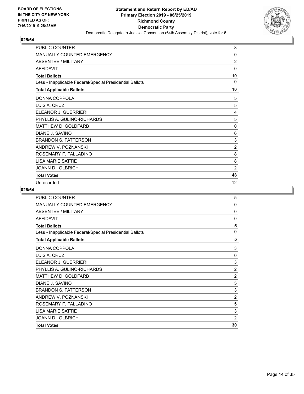

| <b>PUBLIC COUNTER</b>                                    | 8              |
|----------------------------------------------------------|----------------|
| <b>MANUALLY COUNTED EMERGENCY</b>                        | 0              |
| ABSENTEE / MILITARY                                      | $\overline{2}$ |
| <b>AFFIDAVIT</b>                                         | $\mathbf{0}$   |
| <b>Total Ballots</b>                                     | 10             |
| Less - Inapplicable Federal/Special Presidential Ballots | $\Omega$       |
| <b>Total Applicable Ballots</b>                          | 10             |
| DONNA COPPOLA                                            | 5              |
| LUIS A. CRUZ                                             | 5              |
| ELEANOR J. GUERRIERI                                     | 4              |
| PHYLLIS A. GULINO-RICHARDS                               | 5              |
| MATTHEW D. GOLDFARB                                      | 0              |
| DIANE J. SAVINO                                          | 6              |
| <b>BRANDON S. PATTERSON</b>                              | 3              |
| ANDREW V. POZNANSKI                                      | $\overline{2}$ |
| ROSEMARY F. PALLADINO                                    | 8              |
| <b>I ISA MARIF SATTIF</b>                                | 8              |
| JOANN D. OLBRICH                                         | $\overline{2}$ |
| <b>Total Votes</b>                                       | 48             |
| Unrecorded                                               | 12             |

| <b>PUBLIC COUNTER</b>                                    | 5              |
|----------------------------------------------------------|----------------|
| MANUALLY COUNTED EMERGENCY                               | 0              |
| ABSENTEE / MILITARY                                      | 0              |
| <b>AFFIDAVIT</b>                                         | 0              |
| <b>Total Ballots</b>                                     | 5              |
| Less - Inapplicable Federal/Special Presidential Ballots | 0              |
| <b>Total Applicable Ballots</b>                          | 5              |
| DONNA COPPOLA                                            | $\mathsf 3$    |
| LUIS A. CRUZ                                             | 0              |
| ELEANOR J. GUERRIERI                                     | 3              |
| PHYLLIS A. GULINO-RICHARDS                               | $\overline{2}$ |
| MATTHEW D. GOLDFARB                                      | $\overline{c}$ |
| DIANE J. SAVINO                                          | 5              |
| <b>BRANDON S. PATTERSON</b>                              | 3              |
| ANDREW V. POZNANSKI                                      | 2              |
| ROSEMARY F. PALLADINO                                    | 5              |
| <b>LISA MARIE SATTIE</b>                                 | 3              |
| JOANN D. OLBRICH                                         | $\overline{2}$ |
| <b>Total Votes</b>                                       | 30             |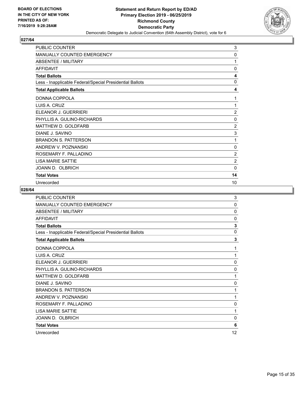

| <b>PUBLIC COUNTER</b>                                    | 3              |
|----------------------------------------------------------|----------------|
| MANUALLY COUNTED EMERGENCY                               | 0              |
| <b>ABSENTEE / MILITARY</b>                               | 1              |
| <b>AFFIDAVIT</b>                                         | $\mathbf{0}$   |
| <b>Total Ballots</b>                                     | 4              |
| Less - Inapplicable Federal/Special Presidential Ballots | 0              |
| <b>Total Applicable Ballots</b>                          | 4              |
| DONNA COPPOLA                                            | 1              |
| LUIS A. CRUZ                                             | 1              |
| ELEANOR J. GUERRIERI                                     | 2              |
| PHYLLIS A. GULINO-RICHARDS                               | 0              |
| MATTHEW D. GOLDFARB                                      | $\overline{2}$ |
| DIANE J. SAVINO                                          | 3              |
| <b>BRANDON S. PATTERSON</b>                              | 1              |
| ANDREW V. POZNANSKI                                      | 0              |
| ROSEMARY F. PALLADINO                                    | $\overline{2}$ |
| <b>LISA MARIE SATTIE</b>                                 | $\overline{2}$ |
| JOANN D. OLBRICH                                         | $\Omega$       |
| <b>Total Votes</b>                                       | 14             |
| Unrecorded                                               | 10             |

| PUBLIC COUNTER                                           | 3            |
|----------------------------------------------------------|--------------|
| MANUALLY COUNTED EMERGENCY                               | 0            |
| <b>ABSENTEE / MILITARY</b>                               | 0            |
| <b>AFFIDAVIT</b>                                         | 0            |
| <b>Total Ballots</b>                                     | 3            |
| Less - Inapplicable Federal/Special Presidential Ballots | $\mathbf 0$  |
| <b>Total Applicable Ballots</b>                          | 3            |
| DONNA COPPOLA                                            | 1            |
| LUIS A. CRUZ                                             | 1            |
| ELEANOR J. GUERRIERI                                     | 0            |
| PHYLLIS A. GULINO-RICHARDS                               | 0            |
| MATTHEW D. GOLDFARB                                      | 1            |
| DIANE J. SAVINO                                          | 0            |
| <b>BRANDON S. PATTERSON</b>                              | 1            |
| ANDREW V. POZNANSKI                                      | 1            |
| ROSEMARY F. PALLADINO                                    | $\mathbf{0}$ |
| <b>LISA MARIE SATTIE</b>                                 | 1            |
| JOANN D. OLBRICH                                         | 0            |
| <b>Total Votes</b>                                       | 6            |
| Unrecorded                                               | 12           |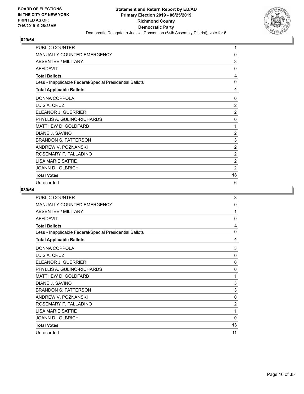

| <b>PUBLIC COUNTER</b>                                    | 1              |
|----------------------------------------------------------|----------------|
| <b>MANUALLY COUNTED EMERGENCY</b>                        | 0              |
| <b>ABSENTEE / MILITARY</b>                               | 3              |
| <b>AFFIDAVIT</b>                                         | $\mathbf{0}$   |
| <b>Total Ballots</b>                                     | 4              |
| Less - Inapplicable Federal/Special Presidential Ballots | $\mathbf{0}$   |
| <b>Total Applicable Ballots</b>                          | 4              |
| DONNA COPPOLA                                            | $\Omega$       |
| LUIS A. CRUZ                                             | 2              |
| ELEANOR J. GUERRIERI                                     | $\overline{2}$ |
| PHYLLIS A. GULINO-RICHARDS                               | 0              |
| MATTHEW D. GOLDFARB                                      | 1              |
| DIANE J. SAVINO                                          | $\overline{2}$ |
| <b>BRANDON S. PATTERSON</b>                              | 3              |
| ANDREW V. POZNANSKI                                      | 2              |
| ROSEMARY F. PALLADINO                                    | $\overline{2}$ |
| <b>I ISA MARIF SATTIF</b>                                | $\overline{2}$ |
| JOANN D. OLBRICH                                         | $\overline{2}$ |
| <b>Total Votes</b>                                       | 18             |
| Unrecorded                                               | 6              |

| PUBLIC COUNTER                                           | 3            |
|----------------------------------------------------------|--------------|
| MANUALLY COUNTED EMERGENCY                               | 0            |
| ABSENTEE / MILITARY                                      | 1            |
| <b>AFFIDAVIT</b>                                         | $\mathbf{0}$ |
| <b>Total Ballots</b>                                     | 4            |
| Less - Inapplicable Federal/Special Presidential Ballots | 0            |
| <b>Total Applicable Ballots</b>                          | 4            |
| DONNA COPPOLA                                            | 3            |
| LUIS A. CRUZ                                             | $\mathbf{0}$ |
| ELEANOR J. GUERRIERI                                     | $\mathbf{0}$ |
| PHYLLIS A. GULINO-RICHARDS                               | 0            |
| MATTHEW D. GOLDFARB                                      | 1            |
| DIANE J. SAVINO                                          | 3            |
| <b>BRANDON S. PATTERSON</b>                              | 3            |
| ANDREW V. POZNANSKI                                      | 0            |
| ROSEMARY F. PALLADINO                                    | 2            |
| <b>LISA MARIE SATTIE</b>                                 | 1            |
| JOANN D. OLBRICH                                         | $\mathbf{0}$ |
| <b>Total Votes</b>                                       | 13           |
| Unrecorded                                               | 11           |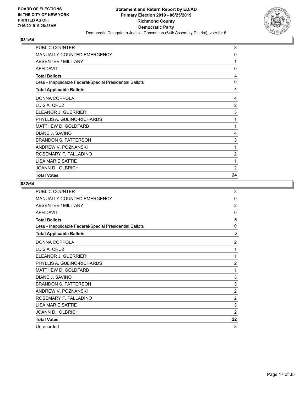

| <b>PUBLIC COUNTER</b>                                    | 3              |
|----------------------------------------------------------|----------------|
| <b>MANUALLY COUNTED EMERGENCY</b>                        | 0              |
| <b>ABSENTEE / MILITARY</b>                               | 1              |
| <b>AFFIDAVIT</b>                                         | 0              |
| <b>Total Ballots</b>                                     | 4              |
| Less - Inapplicable Federal/Special Presidential Ballots | $\mathbf{0}$   |
| <b>Total Applicable Ballots</b>                          | 4              |
| DONNA COPPOLA                                            | 4              |
| LUIS A. CRUZ                                             | $\overline{2}$ |
| ELEANOR J. GUERRIERI                                     | 3              |
| PHYLLIS A. GULINO-RICHARDS                               | 1              |
| MATTHEW D. GOLDFARB                                      | 1              |
| DIANE J. SAVINO                                          | 4              |
| <b>BRANDON S. PATTERSON</b>                              | 3              |
| ANDREW V. POZNANSKI                                      | 1              |
| ROSEMARY F. PALLADINO                                    | $\overline{2}$ |
| <b>LISA MARIE SATTIE</b>                                 | 1              |
| JOANN D. OLBRICH                                         | $\overline{2}$ |
| <b>Total Votes</b>                                       | 24             |

| PUBLIC COUNTER                                           | 3              |
|----------------------------------------------------------|----------------|
| MANUALLY COUNTED EMERGENCY                               | 0              |
| <b>ABSENTEE / MILITARY</b>                               | $\overline{2}$ |
| <b>AFFIDAVIT</b>                                         | $\mathbf{0}$   |
| <b>Total Ballots</b>                                     | 5              |
| Less - Inapplicable Federal/Special Presidential Ballots | 0              |
| <b>Total Applicable Ballots</b>                          | 5              |
| DONNA COPPOLA                                            | $\overline{2}$ |
| LUIS A. CRUZ                                             | 1              |
| ELEANOR J. GUERRIERI                                     | 1              |
| PHYLLIS A. GULINO-RICHARDS                               | $\overline{c}$ |
| MATTHEW D. GOLDFARB                                      | 1              |
| DIANE J. SAVINO                                          | 3              |
| <b>BRANDON S. PATTERSON</b>                              | 3              |
| ANDREW V. POZNANSKI                                      | $\overline{2}$ |
| ROSEMARY F. PALLADINO                                    | $\overline{2}$ |
| <b>LISA MARIE SATTIE</b>                                 | 3              |
| JOANN D. OLBRICH                                         | $\overline{2}$ |
| <b>Total Votes</b>                                       | 22             |
| Unrecorded                                               | 8              |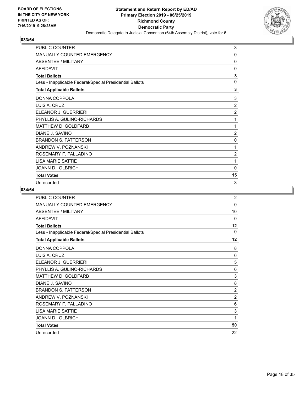

| PUBLIC COUNTER                                           | 3              |
|----------------------------------------------------------|----------------|
| MANUALLY COUNTED EMERGENCY                               | 0              |
| ABSENTEE / MILITARY                                      | 0              |
| <b>AFFIDAVIT</b>                                         | 0              |
| <b>Total Ballots</b>                                     | 3              |
| Less - Inapplicable Federal/Special Presidential Ballots | $\mathbf 0$    |
| <b>Total Applicable Ballots</b>                          | 3              |
| DONNA COPPOLA                                            | 3              |
| LUIS A. CRUZ                                             | $\overline{2}$ |
| ELEANOR J. GUERRIERI                                     | $\overline{c}$ |
| PHYLLIS A. GULINO-RICHARDS                               | 1              |
| MATTHEW D. GOLDFARB                                      | 1              |
| DIANE J. SAVINO                                          | $\overline{2}$ |
| <b>BRANDON S. PATTERSON</b>                              | 0              |
| ANDREW V. POZNANSKI                                      | 1              |
| ROSEMARY F. PALLADINO                                    | $\overline{2}$ |
| <b>LISA MARIE SATTIE</b>                                 | 1              |
| JOANN D. OLBRICH                                         | 0              |
| <b>Total Votes</b>                                       | 15             |
| Unrecorded                                               | 3              |

| PUBLIC COUNTER                                           | 2        |
|----------------------------------------------------------|----------|
| <b>MANUALLY COUNTED EMERGENCY</b>                        | 0        |
| ABSENTEE / MILITARY                                      | 10       |
| <b>AFFIDAVIT</b>                                         | $\Omega$ |
| <b>Total Ballots</b>                                     | 12       |
| Less - Inapplicable Federal/Special Presidential Ballots | $\Omega$ |
| <b>Total Applicable Ballots</b>                          | 12       |
| DONNA COPPOLA                                            | 8        |
| LUIS A. CRUZ                                             | 6        |
| ELEANOR J. GUERRIERI                                     | 5        |
| PHYLLIS A. GULINO-RICHARDS                               | 6        |
| <b>MATTHEW D. GOLDFARB</b>                               | 3        |
| DIANE J. SAVINO                                          | 8        |
| <b>BRANDON S. PATTERSON</b>                              | 2        |
| ANDREW V. POZNANSKI                                      | 2        |
| ROSEMARY F. PALLADINO                                    | 6        |
| <b>LISA MARIE SATTIE</b>                                 | 3        |
| JOANN D. OLBRICH                                         | 1        |
| <b>Total Votes</b>                                       | 50       |
| Unrecorded                                               | 22       |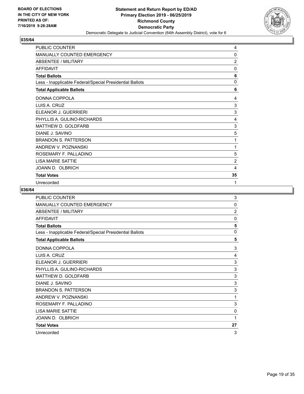

| PUBLIC COUNTER                                           | 4              |
|----------------------------------------------------------|----------------|
| MANUALLY COUNTED EMERGENCY                               | 0              |
| ABSENTEE / MILITARY                                      | $\overline{2}$ |
| <b>AFFIDAVIT</b>                                         | $\mathbf{0}$   |
| <b>Total Ballots</b>                                     | 6              |
| Less - Inapplicable Federal/Special Presidential Ballots | $\mathbf 0$    |
| <b>Total Applicable Ballots</b>                          | 6              |
| DONNA COPPOLA                                            | 4              |
| LUIS A. CRUZ                                             | 3              |
| ELEANOR J. GUERRIERI                                     | 3              |
| PHYLLIS A. GULINO-RICHARDS                               | 4              |
| MATTHEW D. GOLDFARB                                      | 3              |
| DIANE J. SAVINO                                          | 5              |
| <b>BRANDON S. PATTERSON</b>                              | 1              |
| ANDREW V. POZNANSKI                                      | 1              |
| ROSEMARY F. PALLADINO                                    | 5              |
| <b>LISA MARIE SATTIE</b>                                 | $\overline{2}$ |
| JOANN D. OLBRICH                                         | 4              |
| <b>Total Votes</b>                                       | 35             |
| Unrecorded                                               | 1              |

| PUBLIC COUNTER                                           | 3              |
|----------------------------------------------------------|----------------|
| MANUALLY COUNTED EMERGENCY                               | 0              |
| <b>ABSENTEE / MILITARY</b>                               | $\overline{2}$ |
| <b>AFFIDAVIT</b>                                         | $\Omega$       |
| <b>Total Ballots</b>                                     | 5              |
| Less - Inapplicable Federal/Special Presidential Ballots | $\mathbf 0$    |
| <b>Total Applicable Ballots</b>                          | 5              |
| DONNA COPPOLA                                            | 3              |
| LUIS A. CRUZ                                             | 4              |
| ELEANOR J. GUERRIERI                                     | 3              |
| PHYLLIS A. GULINO-RICHARDS                               | 3              |
| MATTHEW D. GOLDFARB                                      | 3              |
| DIANE J. SAVINO                                          | 3              |
| <b>BRANDON S. PATTERSON</b>                              | 3              |
| ANDREW V. POZNANSKI                                      | 1              |
| ROSEMARY F. PALLADINO                                    | 3              |
| <b>LISA MARIE SATTIE</b>                                 | 0              |
| JOANN D. OLBRICH                                         | 1              |
| <b>Total Votes</b>                                       | 27             |
| Unrecorded                                               | 3              |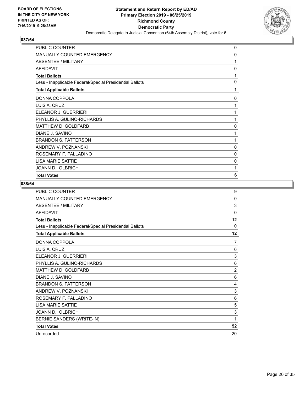

| PUBLIC COUNTER                                           | $\mathbf 0$ |
|----------------------------------------------------------|-------------|
| MANUALLY COUNTED EMERGENCY                               | 0           |
| ABSENTEE / MILITARY                                      | 1           |
| <b>AFFIDAVIT</b>                                         | 0           |
| <b>Total Ballots</b>                                     | 1           |
| Less - Inapplicable Federal/Special Presidential Ballots | 0           |
| <b>Total Applicable Ballots</b>                          | 1           |
| DONNA COPPOLA                                            | 0           |
| LUIS A. CRUZ                                             | 1           |
| ELEANOR J. GUERRIERI                                     | 1           |
| PHYLLIS A. GULINO-RICHARDS                               | 1           |
| MATTHEW D. GOLDFARB                                      | 0           |
| DIANE J. SAVINO                                          | 1           |
| <b>BRANDON S. PATTERSON</b>                              | 1           |
| ANDREW V. POZNANSKI                                      | 0           |
| ROSEMARY F. PALLADINO                                    | 0           |
| <b>LISA MARIE SATTIE</b>                                 | 0           |
| JOANN D. OLBRICH                                         | 1           |
| <b>Total Votes</b>                                       | 6           |

| <b>PUBLIC COUNTER</b>                                    | 9              |
|----------------------------------------------------------|----------------|
| <b>MANUALLY COUNTED EMERGENCY</b>                        | $\mathbf{0}$   |
| <b>ABSENTEE / MILITARY</b>                               | 3              |
| <b>AFFIDAVIT</b>                                         | $\mathbf{0}$   |
| <b>Total Ballots</b>                                     | 12             |
| Less - Inapplicable Federal/Special Presidential Ballots | $\Omega$       |
| <b>Total Applicable Ballots</b>                          | 12             |
| DONNA COPPOLA                                            | 7              |
| <b>I UIS A. CRUZ</b>                                     | 6              |
| ELEANOR J. GUERRIERI                                     | 3              |
| PHYLLIS A. GULINO-RICHARDS                               | 6              |
| MATTHEW D. GOLDFARB                                      | $\overline{c}$ |
| DIANE J. SAVINO                                          | 6              |
| <b>BRANDON S. PATTERSON</b>                              | 4              |
| ANDREW V. POZNANSKI                                      | 3              |
| ROSEMARY F. PALLADINO                                    | 6              |
| <b>I ISA MARIF SATTIF</b>                                | 5              |
| JOANN D. OLBRICH                                         | 3              |
| BERNIE SANDERS (WRITE-IN)                                | 1              |
| <b>Total Votes</b>                                       | 52             |
| Unrecorded                                               | 20             |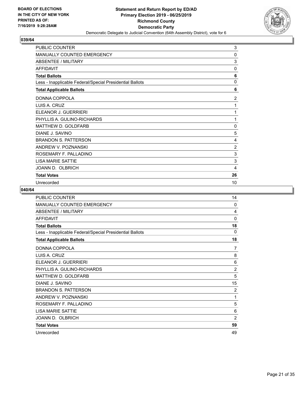

| <b>PUBLIC COUNTER</b>                                    | 3            |
|----------------------------------------------------------|--------------|
| MANUALLY COUNTED EMERGENCY                               | 0            |
| ABSENTEE / MILITARY                                      | 3            |
| <b>AFFIDAVIT</b>                                         | $\mathbf{0}$ |
| <b>Total Ballots</b>                                     | 6            |
| Less - Inapplicable Federal/Special Presidential Ballots | 0            |
| <b>Total Applicable Ballots</b>                          | 6            |
| DONNA COPPOLA                                            | 2            |
| LUIS A. CRUZ                                             | 1            |
| ELEANOR J. GUERRIERI                                     | 1            |
| PHYLLIS A. GULINO-RICHARDS                               | 1            |
| MATTHEW D. GOLDFARB                                      | 0            |
| DIANE J. SAVINO                                          | 5            |
| <b>BRANDON S. PATTERSON</b>                              | 4            |
| ANDREW V. POZNANSKI                                      | 2            |
| ROSEMARY F. PALLADINO                                    | 3            |
| <b>LISA MARIE SATTIE</b>                                 | 3            |
| JOANN D. OLBRICH                                         | 4            |
| <b>Total Votes</b>                                       | 26           |
| Unrecorded                                               | 10           |

| <b>PUBLIC COUNTER</b>                                    | 14             |
|----------------------------------------------------------|----------------|
| MANUALLY COUNTED EMERGENCY                               | 0              |
| <b>ABSENTEE / MILITARY</b>                               | 4              |
| <b>AFFIDAVIT</b>                                         | $\mathbf{0}$   |
| <b>Total Ballots</b>                                     | 18             |
| Less - Inapplicable Federal/Special Presidential Ballots | $\Omega$       |
| <b>Total Applicable Ballots</b>                          | 18             |
| DONNA COPPOLA                                            | 7              |
| LUIS A. CRUZ                                             | 8              |
| ELEANOR J. GUERRIERI                                     | 6              |
| PHYLLIS A. GULINO-RICHARDS                               | $\overline{2}$ |
| <b>MATTHEW D. GOLDFARB</b>                               | 5              |
| DIANE J. SAVINO                                          | 15             |
| <b>BRANDON S. PATTERSON</b>                              | $\overline{2}$ |
| ANDREW V. POZNANSKI                                      | 1              |
| ROSEMARY F. PALLADINO                                    | 5              |
| <b>LISA MARIE SATTIE</b>                                 | 6              |
| JOANN D. OLBRICH                                         | $\overline{2}$ |
| <b>Total Votes</b>                                       | 59             |
| Unrecorded                                               | 49             |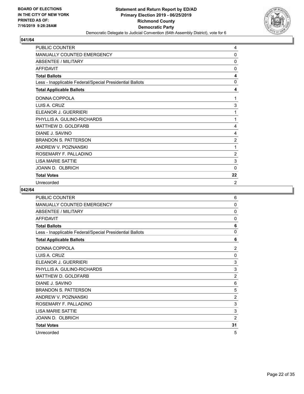

| <b>PUBLIC COUNTER</b>                                    | 4              |
|----------------------------------------------------------|----------------|
| <b>MANUALLY COUNTED EMERGENCY</b>                        | 0              |
| ABSENTEE / MILITARY                                      | 0              |
| <b>AFFIDAVIT</b>                                         | $\mathbf{0}$   |
| <b>Total Ballots</b>                                     | 4              |
| Less - Inapplicable Federal/Special Presidential Ballots | $\Omega$       |
| <b>Total Applicable Ballots</b>                          | 4              |
| DONNA COPPOLA                                            | 1              |
| LUIS A. CRUZ                                             | 3              |
| ELEANOR J. GUERRIERI                                     | 1              |
| PHYLLIS A. GULINO-RICHARDS                               | 1              |
| MATTHEW D. GOLDFARB                                      | 4              |
| DIANE J. SAVINO                                          | 4              |
| <b>BRANDON S. PATTERSON</b>                              | $\overline{2}$ |
| ANDREW V. POZNANSKI                                      | 1              |
| ROSEMARY F. PALLADINO                                    | 2              |
| <b>I ISA MARIF SATTIF</b>                                | 3              |
| JOANN D. OLBRICH                                         | 0              |
| <b>Total Votes</b>                                       | 22             |
| Unrecorded                                               | $\overline{2}$ |

| PUBLIC COUNTER                                           | 6              |
|----------------------------------------------------------|----------------|
| <b>MANUALLY COUNTED EMERGENCY</b>                        | 0              |
| ABSENTEE / MILITARY                                      | 0              |
| <b>AFFIDAVIT</b>                                         | $\mathbf{0}$   |
| <b>Total Ballots</b>                                     | 6              |
| Less - Inapplicable Federal/Special Presidential Ballots | $\mathbf{0}$   |
| <b>Total Applicable Ballots</b>                          | 6              |
| DONNA COPPOLA                                            | 2              |
| LUIS A. CRUZ                                             | $\Omega$       |
| ELEANOR J. GUERRIERI                                     | 3              |
| PHYLLIS A. GULINO-RICHARDS                               | 3              |
| MATTHEW D. GOLDFARB                                      | $\overline{2}$ |
| DIANE J. SAVINO                                          | 6              |
| <b>BRANDON S. PATTERSON</b>                              | 5              |
| ANDREW V. POZNANSKI                                      | $\overline{2}$ |
| ROSEMARY F. PALLADINO                                    | 3              |
| <b>LISA MARIE SATTIE</b>                                 | 3              |
| JOANN D. OLBRICH                                         | $\overline{2}$ |
| <b>Total Votes</b>                                       | 31             |
| Unrecorded                                               | 5              |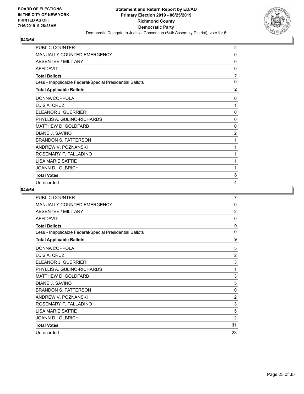

| <b>PUBLIC COUNTER</b>                                    | $\overline{2}$ |
|----------------------------------------------------------|----------------|
| MANUALLY COUNTED EMERGENCY                               | 0              |
| <b>ABSENTEE / MILITARY</b>                               | $\mathbf{0}$   |
| <b>AFFIDAVIT</b>                                         | $\mathbf{0}$   |
| <b>Total Ballots</b>                                     | $\mathbf{2}$   |
| Less - Inapplicable Federal/Special Presidential Ballots | 0              |
| <b>Total Applicable Ballots</b>                          | $\overline{2}$ |
| DONNA COPPOLA                                            | 0              |
| LUIS A. CRUZ                                             | 1              |
| ELEANOR J. GUERRIERI                                     | 0              |
| PHYLLIS A. GULINO-RICHARDS                               | 0              |
| <b>MATTHEW D. GOLDFARB</b>                               | 0              |
| DIANE J. SAVINO                                          | $\overline{2}$ |
| <b>BRANDON S. PATTERSON</b>                              | 1              |
| ANDREW V. POZNANSKI                                      | 1              |
| ROSEMARY F. PALLADINO                                    | 1              |
| <b>LISA MARIE SATTIE</b>                                 | 1              |
| JOANN D. OLBRICH                                         | 1              |
| <b>Total Votes</b>                                       | 8              |
| Unrecorded                                               | 4              |

| PUBLIC COUNTER                                           | 7              |
|----------------------------------------------------------|----------------|
| MANUALLY COUNTED EMERGENCY                               | 0              |
| <b>ABSENTEE / MILITARY</b>                               | $\overline{2}$ |
| <b>AFFIDAVIT</b>                                         | $\Omega$       |
| <b>Total Ballots</b>                                     | 9              |
| Less - Inapplicable Federal/Special Presidential Ballots | 0              |
| <b>Total Applicable Ballots</b>                          | 9              |
| DONNA COPPOLA                                            | 5              |
| LUIS A. CRUZ                                             | $\overline{2}$ |
| ELEANOR J. GUERRIERI                                     | 3              |
| PHYLLIS A. GULINO-RICHARDS                               | 1              |
| MATTHEW D. GOLDFARB                                      | 3              |
| DIANE J. SAVINO                                          | 5              |
| <b>BRANDON S. PATTERSON</b>                              | 0              |
| ANDREW V. POZNANSKI                                      | 2              |
| ROSEMARY F. PALLADINO                                    | 3              |
| <b>LISA MARIE SATTIE</b>                                 | 5              |
| JOANN D. OLBRICH                                         | $\overline{2}$ |
| <b>Total Votes</b>                                       | 31             |
| Unrecorded                                               | 23             |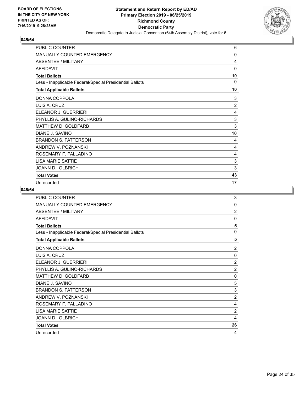

| <b>PUBLIC COUNTER</b>                                    | 6        |
|----------------------------------------------------------|----------|
| <b>MANUALLY COUNTED EMERGENCY</b>                        | 0        |
| <b>ABSENTEE / MILITARY</b>                               | 4        |
| <b>AFFIDAVIT</b>                                         | $\Omega$ |
| <b>Total Ballots</b>                                     | 10       |
| Less - Inapplicable Federal/Special Presidential Ballots | $\Omega$ |
| <b>Total Applicable Ballots</b>                          | 10       |
| DONNA COPPOLA                                            | 3        |
| LUIS A. CRUZ                                             | 2        |
| ELEANOR J. GUERRIERI                                     | 4        |
| PHYLLIS A. GULINO-RICHARDS                               | 3        |
| MATTHEW D. GOLDFARB                                      | 3        |
| DIANE J. SAVINO                                          | 10       |
| <b>BRANDON S. PATTERSON</b>                              | 4        |
| ANDREW V. POZNANSKI                                      | 4        |
| ROSEMARY F. PALLADINO                                    | 4        |
| <b>I ISA MARIF SATTIF</b>                                | 3        |
| JOANN D. OLBRICH                                         | 3        |
| <b>Total Votes</b>                                       | 43       |
| Unrecorded                                               | 17       |

| PUBLIC COUNTER                                           | 3              |
|----------------------------------------------------------|----------------|
| MANUALLY COUNTED EMERGENCY                               | 0              |
| ABSENTEE / MILITARY                                      | $\overline{2}$ |
| <b>AFFIDAVIT</b>                                         | $\mathbf{0}$   |
| <b>Total Ballots</b>                                     | 5              |
| Less - Inapplicable Federal/Special Presidential Ballots | $\mathbf 0$    |
| <b>Total Applicable Ballots</b>                          | 5              |
| DONNA COPPOLA                                            | $\overline{2}$ |
| LUIS A. CRUZ                                             | $\mathbf{0}$   |
| ELEANOR J. GUERRIERI                                     | $\overline{2}$ |
| PHYLLIS A. GULINO-RICHARDS                               | $\overline{2}$ |
| MATTHEW D. GOLDFARB                                      | $\mathbf{0}$   |
| DIANE J. SAVINO                                          | 5              |
| <b>BRANDON S. PATTERSON</b>                              | 3              |
| ANDREW V. POZNANSKI                                      | $\overline{2}$ |
| ROSEMARY F. PALLADINO                                    | 4              |
| <b>LISA MARIE SATTIE</b>                                 | 2              |
| JOANN D. OLBRICH                                         | 4              |
| <b>Total Votes</b>                                       | 26             |
| Unrecorded                                               | 4              |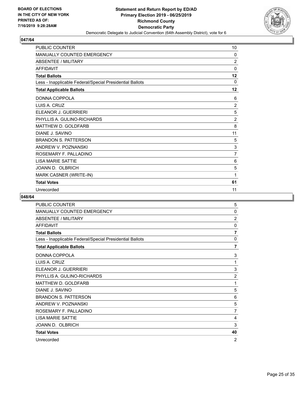

| <b>PUBLIC COUNTER</b>                                    | 10             |
|----------------------------------------------------------|----------------|
| <b>MANUALLY COUNTED EMERGENCY</b>                        | 0              |
| <b>ABSENTEE / MILITARY</b>                               | $\overline{2}$ |
| <b>AFFIDAVIT</b>                                         | 0              |
| <b>Total Ballots</b>                                     | 12             |
| Less - Inapplicable Federal/Special Presidential Ballots | 0              |
| <b>Total Applicable Ballots</b>                          | 12             |
| DONNA COPPOLA                                            | 6              |
| LUIS A. CRUZ                                             | $\overline{2}$ |
| FI FANOR J. GUFRRIFRI                                    | 5              |
| PHYLLIS A. GULINO-RICHARDS                               | $\overline{c}$ |
| <b>MATTHEW D. GOLDFARB</b>                               | 8              |
| DIANE J. SAVINO                                          | 11             |
| <b>BRANDON S. PATTERSON</b>                              | 5              |
| ANDREW V. POZNANSKI                                      | 3              |
| ROSEMARY F. PALLADINO                                    | $\overline{7}$ |
| <b>LISA MARIE SATTIE</b>                                 | 6              |
| JOANN D. OLBRICH                                         | 5              |
| MARK CASNER (WRITE-IN)                                   | 1              |
| <b>Total Votes</b>                                       | 61             |
| Unrecorded                                               | 11             |

| PUBLIC COUNTER                                           | 5              |
|----------------------------------------------------------|----------------|
| <b>MANUALLY COUNTED EMERGENCY</b>                        | 0              |
| ABSENTEE / MILITARY                                      | $\overline{2}$ |
| <b>AFFIDAVIT</b>                                         | 0              |
| <b>Total Ballots</b>                                     | 7              |
| Less - Inapplicable Federal/Special Presidential Ballots | 0              |
| <b>Total Applicable Ballots</b>                          | $\overline{7}$ |
| DONNA COPPOLA                                            | 3              |
| LUIS A. CRUZ                                             | 1              |
| ELEANOR J. GUERRIERI                                     | 3              |
| PHYLLIS A. GULINO-RICHARDS                               | $\overline{2}$ |
| <b>MATTHEW D. GOLDFARB</b>                               | 1              |
| DIANE J. SAVINO                                          | 5              |
| <b>BRANDON S. PATTERSON</b>                              | 6              |
| ANDREW V. POZNANSKI                                      | 5              |
| ROSEMARY F. PALLADINO                                    | 7              |
| <b>LISA MARIE SATTIE</b>                                 | 4              |
| JOANN D. OLBRICH                                         | 3              |
| <b>Total Votes</b>                                       | 40             |
| Unrecorded                                               | 2              |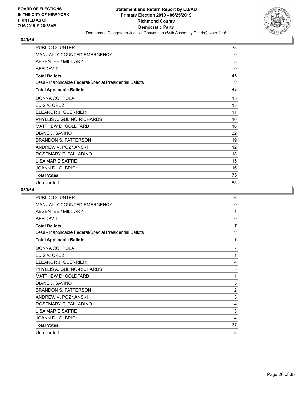

| <b>PUBLIC COUNTER</b>                                    | 35           |
|----------------------------------------------------------|--------------|
| MANUALLY COUNTED EMERGENCY                               | 0            |
| ABSENTEE / MILITARY                                      | 8            |
| <b>AFFIDAVIT</b>                                         | $\mathbf{0}$ |
| <b>Total Ballots</b>                                     | 43           |
| Less - Inapplicable Federal/Special Presidential Ballots | 0            |
| <b>Total Applicable Ballots</b>                          | 43           |
| DONNA COPPOLA                                            | 15           |
| LUIS A. CRUZ                                             | 15           |
| FI FANOR J. GUFRRIFRI                                    | 11           |
| PHYLLIS A. GULINO-RICHARDS                               | 10           |
| MATTHEW D. GOLDFARB                                      | 10           |
| DIANE J. SAVINO                                          | 32           |
| <b>BRANDON S. PATTERSON</b>                              | 19           |
| ANDREW V. POZNANSKI                                      | 12           |
| ROSEMARY F. PALLADINO                                    | 18           |
| LISA MARIE SATTIE                                        | 15           |
| JOANN D. OLBRICH                                         | 16           |
| <b>Total Votes</b>                                       | 173          |
| Unrecorded                                               | 85           |

| <b>PUBLIC COUNTER</b>                                    | 6              |
|----------------------------------------------------------|----------------|
| <b>MANUALLY COUNTED EMERGENCY</b>                        | $\mathbf{0}$   |
| ABSENTEE / MILITARY                                      | 1              |
| <b>AFFIDAVIT</b>                                         | $\mathbf{0}$   |
| <b>Total Ballots</b>                                     | 7              |
| Less - Inapplicable Federal/Special Presidential Ballots | 0              |
| <b>Total Applicable Ballots</b>                          | 7              |
| DONNA COPPOLA                                            | 7              |
| LUIS A. CRUZ                                             | 1              |
| ELEANOR J. GUERRIERI                                     | 4              |
| PHYLLIS A. GULINO-RICHARDS                               | 3              |
| <b>MATTHEW D. GOLDFARB</b>                               | 1              |
| DIANE J. SAVINO                                          | 5              |
| <b>BRANDON S. PATTERSON</b>                              | $\overline{2}$ |
| ANDREW V. POZNANSKI                                      | 3              |
| ROSEMARY F. PALLADINO                                    | 4              |
| <b>LISA MARIE SATTIE</b>                                 | 3              |
| JOANN D. OLBRICH                                         | 4              |
| <b>Total Votes</b>                                       | 37             |
| Unrecorded                                               | 5              |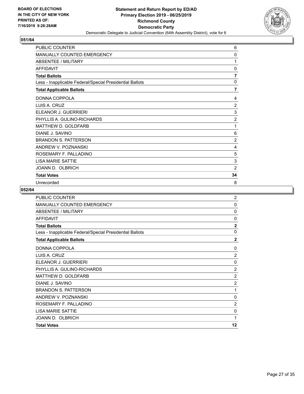

| PUBLIC COUNTER                                           | 6              |
|----------------------------------------------------------|----------------|
| MANUALLY COUNTED EMERGENCY                               | 0              |
| ABSENTEE / MILITARY                                      | 1              |
| <b>AFFIDAVIT</b>                                         | $\mathbf{0}$   |
| <b>Total Ballots</b>                                     | $\overline{7}$ |
| Less - Inapplicable Federal/Special Presidential Ballots | $\mathbf 0$    |
| <b>Total Applicable Ballots</b>                          | $\overline{7}$ |
| DONNA COPPOLA                                            | 4              |
| LUIS A. CRUZ                                             | $\overline{2}$ |
| ELEANOR J. GUERRIERI                                     | 3              |
| PHYLLIS A. GULINO-RICHARDS                               | $\overline{2}$ |
| MATTHEW D. GOLDFARB                                      | 1              |
| DIANE J. SAVINO                                          | 6              |
| <b>BRANDON S. PATTERSON</b>                              | $\overline{2}$ |
| ANDREW V. POZNANSKI                                      | 4              |
| ROSEMARY F. PALLADINO                                    | 5              |
| <b>LISA MARIE SATTIE</b>                                 | 3              |
| JOANN D. OLBRICH                                         | $\overline{2}$ |
| <b>Total Votes</b>                                       | 34             |
| Unrecorded                                               | 8              |

| <b>PUBLIC COUNTER</b>                                    | $\overline{2}$ |
|----------------------------------------------------------|----------------|
| <b>MANUALLY COUNTED EMERGENCY</b>                        | 0              |
| <b>ABSENTEE / MILITARY</b>                               | 0              |
| <b>AFFIDAVIT</b>                                         | 0              |
| <b>Total Ballots</b>                                     | $\overline{2}$ |
| Less - Inapplicable Federal/Special Presidential Ballots | 0              |
| <b>Total Applicable Ballots</b>                          | $\mathbf{2}$   |
| DONNA COPPOLA                                            | $\Omega$       |
| LUIS A. CRUZ                                             | $\overline{2}$ |
| ELEANOR J. GUERRIERI                                     | 0              |
| PHYLLIS A. GULINO-RICHARDS                               | $\overline{2}$ |
| MATTHEW D. GOLDFARB                                      | $\overline{2}$ |
| DIANE J. SAVINO                                          | $\overline{c}$ |
| <b>BRANDON S. PATTERSON</b>                              | 1              |
| ANDREW V. POZNANSKI                                      | 0              |
| ROSEMARY F. PALLADINO                                    | 2              |
| <b>LISA MARIE SATTIE</b>                                 | 0              |
| JOANN D. OLBRICH                                         | 1              |
| <b>Total Votes</b>                                       | 12             |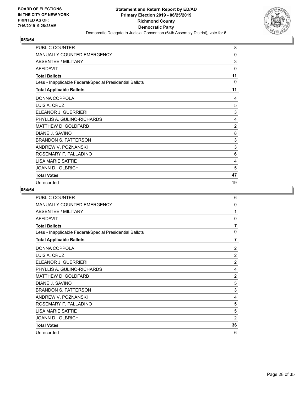

| <b>PUBLIC COUNTER</b>                                    | 8            |
|----------------------------------------------------------|--------------|
| <b>MANUALLY COUNTED EMERGENCY</b>                        | 0            |
| ABSENTEE / MILITARY                                      | 3            |
| <b>AFFIDAVIT</b>                                         | $\mathbf{0}$ |
| <b>Total Ballots</b>                                     | 11           |
| Less - Inapplicable Federal/Special Presidential Ballots | $\Omega$     |
| <b>Total Applicable Ballots</b>                          | 11           |
| DONNA COPPOLA                                            | 4            |
| LUIS A. CRUZ                                             | 5            |
| ELEANOR J. GUERRIERI                                     | 3            |
| PHYLLIS A. GULINO-RICHARDS                               | 4            |
| MATTHEW D. GOLDFARB                                      | 2            |
| DIANE J. SAVINO                                          | 8            |
| <b>BRANDON S. PATTERSON</b>                              | 3            |
| ANDREW V. POZNANSKI                                      | 3            |
| ROSEMARY F. PALLADINO                                    | 6            |
| <b>I ISA MARIF SATTIF</b>                                | 4            |
| JOANN D. OLBRICH                                         | 5            |
| <b>Total Votes</b>                                       | 47           |
| Unrecorded                                               | 19           |

| PUBLIC COUNTER                                           | 6              |
|----------------------------------------------------------|----------------|
| <b>MANUALLY COUNTED EMERGENCY</b>                        | $\mathbf{0}$   |
| <b>ABSENTEE / MILITARY</b>                               | 1              |
| <b>AFFIDAVIT</b>                                         | $\mathbf{0}$   |
| <b>Total Ballots</b>                                     | $\overline{7}$ |
| Less - Inapplicable Federal/Special Presidential Ballots | 0              |
| <b>Total Applicable Ballots</b>                          | $\overline{7}$ |
| DONNA COPPOLA                                            | $\overline{2}$ |
| LUIS A. CRUZ                                             | $\overline{2}$ |
| ELEANOR J. GUERRIERI                                     | $\overline{2}$ |
| PHYLLIS A. GULINO-RICHARDS                               | 4              |
| MATTHEW D. GOLDFARB                                      | $\overline{2}$ |
| DIANE J. SAVINO                                          | 5              |
| <b>BRANDON S. PATTERSON</b>                              | 3              |
| ANDREW V. POZNANSKI                                      | 4              |
| ROSEMARY F. PALLADINO                                    | 5              |
| <b>LISA MARIE SATTIE</b>                                 | 5              |
| JOANN D. OLBRICH                                         | $\overline{2}$ |
| <b>Total Votes</b>                                       | 36             |
| Unrecorded                                               | 6              |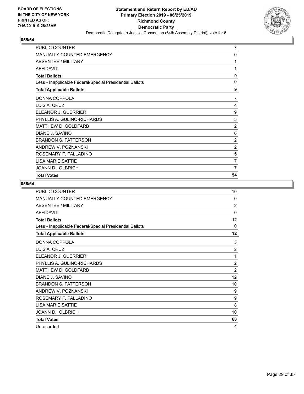

| PUBLIC COUNTER                                           | 7              |
|----------------------------------------------------------|----------------|
| <b>MANUALLY COUNTED EMERGENCY</b>                        | 0              |
| <b>ABSENTEE / MILITARY</b>                               | 1              |
| <b>AFFIDAVIT</b>                                         | 1              |
| <b>Total Ballots</b>                                     | 9              |
| Less - Inapplicable Federal/Special Presidential Ballots | $\mathbf 0$    |
| <b>Total Applicable Ballots</b>                          | 9              |
| DONNA COPPOLA                                            | 7              |
| LUIS A. CRUZ                                             | 4              |
| ELEANOR J. GUERRIERI                                     | 9              |
| PHYLLIS A. GULINO-RICHARDS                               | $\sqrt{3}$     |
| MATTHEW D. GOLDFARB                                      | $\overline{2}$ |
| DIANE J. SAVINO                                          | 6              |
| <b>BRANDON S. PATTERSON</b>                              | $\overline{c}$ |
| ANDREW V. POZNANSKI                                      | $\overline{2}$ |
| ROSEMARY F. PALLADINO                                    | 5              |
| <b>LISA MARIE SATTIE</b>                                 | 7              |
| JOANN D. OLBRICH                                         | 7              |
| <b>Total Votes</b>                                       | 54             |

| <b>PUBLIC COUNTER</b>                                    | 10             |
|----------------------------------------------------------|----------------|
| <b>MANUALLY COUNTED EMERGENCY</b>                        | $\Omega$       |
| ABSENTEE / MILITARY                                      | $\overline{2}$ |
| <b>AFFIDAVIT</b>                                         | $\Omega$       |
| <b>Total Ballots</b>                                     | 12             |
| Less - Inapplicable Federal/Special Presidential Ballots | $\Omega$       |
| <b>Total Applicable Ballots</b>                          | 12             |
| DONNA COPPOLA                                            | 3              |
| LUIS A. CRUZ                                             | $\overline{c}$ |
| ELEANOR J. GUERRIERI                                     | 1              |
| PHYLLIS A. GULINO-RICHARDS                               | $\overline{2}$ |
| MATTHEW D. GOLDFARB                                      | $\overline{2}$ |
| DIANE J. SAVINO                                          | 12             |
| <b>BRANDON S. PATTERSON</b>                              | 10             |
| ANDREW V. POZNANSKI                                      | 9              |
| ROSEMARY F. PALLADINO                                    | 9              |
| <b>LISA MARIE SATTIE</b>                                 | 8              |
| JOANN D. OLBRICH                                         | 10             |
| <b>Total Votes</b>                                       | 68             |
| Unrecorded                                               | 4              |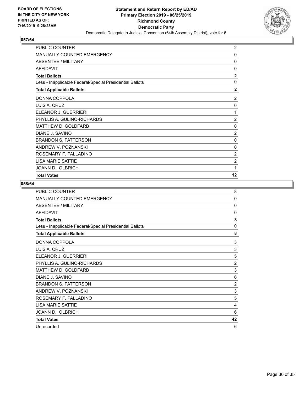

| PUBLIC COUNTER                                           | $\overline{2}$ |
|----------------------------------------------------------|----------------|
| <b>MANUALLY COUNTED EMERGENCY</b>                        | 0              |
| <b>ABSENTEE / MILITARY</b>                               | 0              |
| <b>AFFIDAVIT</b>                                         | 0              |
| <b>Total Ballots</b>                                     | $\overline{2}$ |
| Less - Inapplicable Federal/Special Presidential Ballots | 0              |
| <b>Total Applicable Ballots</b>                          | $\overline{2}$ |
| DONNA COPPOLA                                            | 2              |
| LUIS A. CRUZ                                             | 0              |
| ELEANOR J. GUERRIERI                                     | 1              |
| PHYLLIS A. GULINO-RICHARDS                               | $\overline{2}$ |
| MATTHEW D. GOLDFARB                                      | 0              |
| DIANE J. SAVINO                                          | $\overline{2}$ |
| <b>BRANDON S. PATTERSON</b>                              | 0              |
| ANDREW V. POZNANSKI                                      | 0              |
| ROSEMARY F. PALLADINO                                    | $\overline{2}$ |
| <b>LISA MARIE SATTIE</b>                                 | $\overline{2}$ |
| JOANN D. OLBRICH                                         | 1              |
| <b>Total Votes</b>                                       | 12             |

| <b>PUBLIC COUNTER</b>                                    | 8              |
|----------------------------------------------------------|----------------|
| <b>MANUALLY COUNTED EMERGENCY</b>                        | 0              |
| ABSENTEE / MILITARY                                      | $\mathbf{0}$   |
| <b>AFFIDAVIT</b>                                         | 0              |
| <b>Total Ballots</b>                                     | 8              |
| Less - Inapplicable Federal/Special Presidential Ballots | 0              |
| <b>Total Applicable Ballots</b>                          | 8              |
| DONNA COPPOLA                                            | 3              |
| LUIS A. CRUZ                                             | 3              |
| ELEANOR J. GUERRIERI                                     | 5              |
| PHYLLIS A. GULINO-RICHARDS                               | $\overline{c}$ |
| MATTHEW D. GOLDFARB                                      | 3              |
| DIANE J. SAVINO                                          | 6              |
| <b>BRANDON S. PATTERSON</b>                              | $\overline{2}$ |
| ANDREW V. POZNANSKI                                      | 3              |
| ROSEMARY F. PALLADINO                                    | 5              |
| <b>LISA MARIE SATTIE</b>                                 | 4              |
| JOANN D. OLBRICH                                         | 6              |
| <b>Total Votes</b>                                       | 42             |
| Unrecorded                                               | 6              |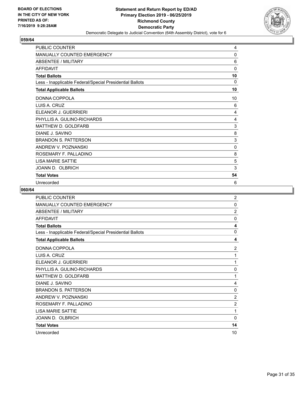

| <b>PUBLIC COUNTER</b>                                    | 4        |
|----------------------------------------------------------|----------|
| <b>MANUALLY COUNTED EMERGENCY</b>                        | 0        |
| <b>ABSENTEE / MILITARY</b>                               | 6        |
| <b>AFFIDAVIT</b>                                         | 0        |
| <b>Total Ballots</b>                                     | 10       |
| Less - Inapplicable Federal/Special Presidential Ballots | $\Omega$ |
| <b>Total Applicable Ballots</b>                          | 10       |
| DONNA COPPOLA                                            | 10       |
| LUIS A. CRUZ                                             | 6        |
| ELEANOR J. GUERRIERI                                     | 4        |
| PHYLLIS A. GULINO-RICHARDS                               | 4        |
| MATTHEW D. GOLDFARB                                      | 3        |
| DIANE J. SAVINO                                          | 8        |
| <b>BRANDON S. PATTERSON</b>                              | 3        |
| ANDREW V. POZNANSKI                                      | 0        |
| ROSEMARY F. PALLADINO                                    | 8        |
| <b>I ISA MARIF SATTIF</b>                                | 5        |
| JOANN D. OLBRICH                                         | 3        |
| <b>Total Votes</b>                                       | 54       |
| Unrecorded                                               | 6        |

| <b>PUBLIC COUNTER</b>                                    | $\overline{2}$ |
|----------------------------------------------------------|----------------|
| MANUALLY COUNTED EMERGENCY                               | 0              |
| <b>ABSENTEE / MILITARY</b>                               | $\overline{2}$ |
| <b>AFFIDAVIT</b>                                         | $\mathbf{0}$   |
| <b>Total Ballots</b>                                     | 4              |
| Less - Inapplicable Federal/Special Presidential Ballots | 0              |
| <b>Total Applicable Ballots</b>                          | 4              |
| DONNA COPPOLA                                            | 2              |
| LUIS A. CRUZ                                             | 1              |
| ELEANOR J. GUERRIERI                                     | 1              |
| PHYLLIS A. GULINO-RICHARDS                               | 0              |
| MATTHEW D. GOLDFARB                                      | 1              |
| DIANE J. SAVINO                                          | 4              |
| <b>BRANDON S. PATTERSON</b>                              | 0              |
| ANDREW V. POZNANSKI                                      | 2              |
| ROSEMARY F. PALLADINO                                    | $\overline{2}$ |
| <b>LISA MARIE SATTIE</b>                                 | 1              |
| JOANN D. OLBRICH                                         | 0              |
| <b>Total Votes</b>                                       | 14             |
| Unrecorded                                               | 10             |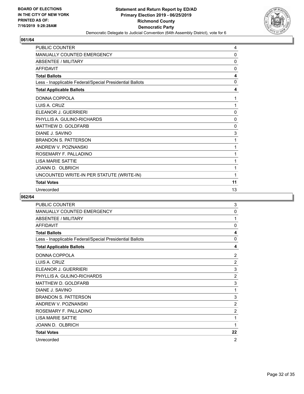

| PUBLIC COUNTER                                           | 4        |
|----------------------------------------------------------|----------|
| <b>MANUALLY COUNTED EMERGENCY</b>                        | 0        |
| <b>ABSENTEE / MILITARY</b>                               | 0        |
| <b>AFFIDAVIT</b>                                         | 0        |
| <b>Total Ballots</b>                                     | 4        |
| Less - Inapplicable Federal/Special Presidential Ballots | $\Omega$ |
| <b>Total Applicable Ballots</b>                          | 4        |
| DONNA COPPOLA                                            | 1        |
| LUIS A. CRUZ                                             | 1        |
| ELEANOR J. GUERRIERI                                     | 0        |
| PHYLLIS A. GULINO-RICHARDS                               | 0        |
| <b>MATTHEW D. GOLDFARB</b>                               | 0        |
| DIANE J. SAVINO                                          | 3        |
| <b>BRANDON S. PATTERSON</b>                              | 1        |
| ANDREW V. POZNANSKI                                      | 1        |
| ROSEMARY F. PALLADINO                                    | 1        |
| <b>LISA MARIE SATTIE</b>                                 | 1        |
| JOANN D. OLBRICH                                         | 1        |
| UNCOUNTED WRITE-IN PER STATUTE (WRITE-IN)                | 1        |
| <b>Total Votes</b>                                       | 11       |
| Unrecorded                                               | 13       |

| <b>PUBLIC COUNTER</b>                                    | 3              |
|----------------------------------------------------------|----------------|
| MANUALLY COUNTED EMERGENCY                               | $\mathbf{0}$   |
| ABSENTEE / MILITARY                                      | 1              |
| <b>AFFIDAVIT</b>                                         | $\Omega$       |
| <b>Total Ballots</b>                                     | 4              |
| Less - Inapplicable Federal/Special Presidential Ballots | $\Omega$       |
| <b>Total Applicable Ballots</b>                          | 4              |
| DONNA COPPOLA                                            | $\overline{2}$ |
| LUIS A. CRUZ                                             | $\overline{2}$ |
| ELEANOR J. GUERRIERI                                     | 3              |
| PHYLLIS A. GULINO-RICHARDS                               | $\overline{2}$ |
| MATTHEW D. GOLDFARB                                      | 3              |
| DIANE J. SAVINO                                          | 1              |
| <b>BRANDON S. PATTERSON</b>                              | 3              |
| ANDREW V. POZNANSKI                                      | $\overline{2}$ |
| ROSEMARY F. PALLADINO                                    | $\overline{2}$ |
| <b>LISA MARIE SATTIE</b>                                 | 1              |
| JOANN D. OLBRICH                                         | 1              |
| <b>Total Votes</b>                                       | 22             |
| Unrecorded                                               | 2              |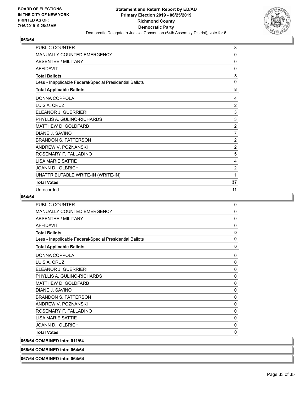

| PUBLIC COUNTER                                           | 8              |
|----------------------------------------------------------|----------------|
| <b>MANUALLY COUNTED EMERGENCY</b>                        | $\mathbf{0}$   |
| <b>ABSENTEE / MILITARY</b>                               | 0              |
| <b>AFFIDAVIT</b>                                         | 0              |
| <b>Total Ballots</b>                                     | 8              |
| Less - Inapplicable Federal/Special Presidential Ballots | $\Omega$       |
| <b>Total Applicable Ballots</b>                          | 8              |
| DONNA COPPOLA                                            | 4              |
| LUIS A. CRUZ                                             | $\overline{2}$ |
| ELEANOR J. GUERRIERI                                     | 3              |
| PHYLLIS A. GULINO-RICHARDS                               | 3              |
| <b>MATTHEW D. GOLDFARB</b>                               | $\overline{2}$ |
| DIANE J. SAVINO                                          | $\overline{7}$ |
| <b>BRANDON S. PATTERSON</b>                              | $\overline{c}$ |
| ANDREW V. POZNANSKI                                      | $\overline{2}$ |
| ROSEMARY F. PALLADINO                                    | 5              |
| <b>LISA MARIE SATTIE</b>                                 | 4              |
| JOANN D. OLBRICH                                         | 2              |
| UNATTRIBUTABLE WRITE-IN (WRITE-IN)                       | 1              |
| <b>Total Votes</b>                                       | 37             |
| Unrecorded                                               | 11             |

#### **064/64**

| <b>PUBLIC COUNTER</b>                                    | 0            |
|----------------------------------------------------------|--------------|
| <b>MANUALLY COUNTED EMERGENCY</b>                        | 0            |
| <b>ABSENTEE / MILITARY</b>                               | 0            |
| <b>AFFIDAVIT</b>                                         | 0            |
| <b>Total Ballots</b>                                     | $\mathbf{0}$ |
| Less - Inapplicable Federal/Special Presidential Ballots | $\mathbf 0$  |
| <b>Total Applicable Ballots</b>                          | $\mathbf 0$  |
| DONNA COPPOLA                                            | 0            |
| LUIS A. CRUZ                                             | $\Omega$     |
| ELEANOR J. GUERRIERI                                     | $\mathbf 0$  |
| PHYLLIS A. GULINO-RICHARDS                               | $\mathbf 0$  |
| MATTHEW D. GOLDFARB                                      | 0            |
| DIANE J. SAVINO                                          | $\mathbf 0$  |
| <b>BRANDON S. PATTERSON</b>                              | 0            |
| ANDREW V. POZNANSKI                                      | 0            |
| ROSEMARY F. PALLADINO                                    | $\Omega$     |
| <b>I ISA MARIF SATTIF</b>                                | 0            |
| JOANN D. OLBRICH                                         | 0            |
| <b>Total Votes</b>                                       | 0            |
| 065/64 COMBINED into: 011/64                             |              |
| 066/64 COMBINED into: 064/64                             |              |

**067/64 COMBINED into: 064/64**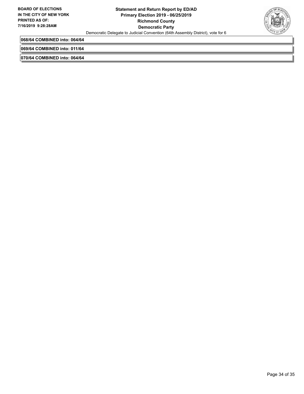

**068/64 COMBINED into: 064/64**

**069/64 COMBINED into: 011/64**

**070/64 COMBINED into: 064/64**